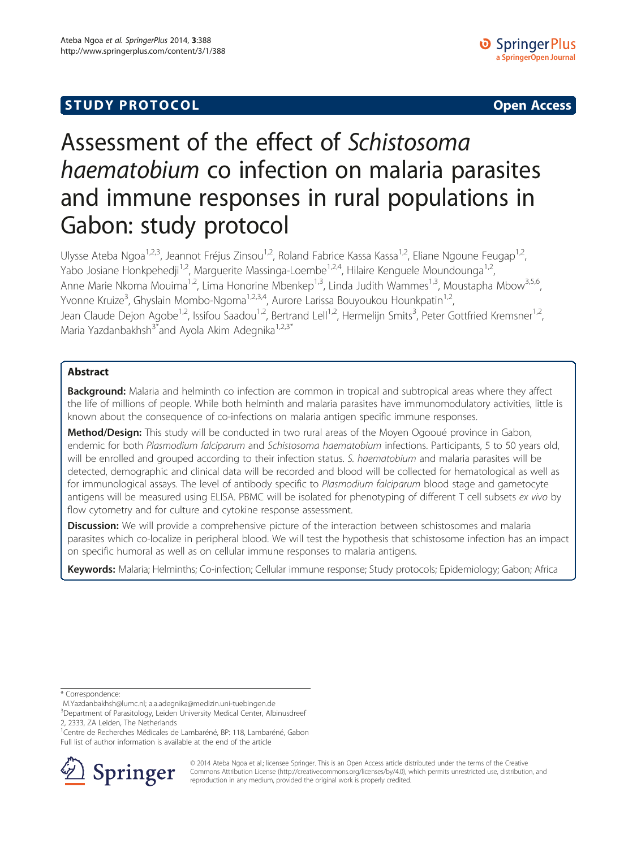## **STUDY PROTOCOL** And the set of the set of the set of the set of the set of the set of the set of the set of the set of the set of the set of the set of the set of the set of the set of the set of the set of the set of the

# Assessment of the effect of Schistosoma haematobium co infection on malaria parasites and immune responses in rural populations in Gabon: study protocol

Ulysse Ateba Ngoa<sup>1,2,3</sup>, Jeannot Fréjus Zinsou<sup>1,2</sup>, Roland Fabrice Kassa Kassa<sup>1,2</sup>, Eliane Ngoune Feugap<sup>1,2</sup>, Yabo Josiane Honkpehedji<sup>1,2</sup>, Marguerite Massinga-Loembe<sup>1,2,4</sup>, Hilaire Kenguele Moundounga<sup>1,2</sup>, Anne Marie Nkoma Mouima<sup>1,2</sup>, Lima Honorine Mbenkep<sup>1,3</sup>, Linda Judith Wammes<sup>1,3</sup>, Moustapha Mbow<sup>3,5,6</sup>, Yvonne Kruize<sup>3</sup>, Ghyslain Mombo-Ngoma<sup>1,2,3,4</sup>, Aurore Larissa Bouyoukou Hounkpatin<sup>1,2</sup>, Jean Claude Dejon Agobe<sup>1,2</sup>, Issifou Saadou<sup>1,2</sup>, Bertrand Lell<sup>1,2</sup>, Hermelijn Smits<sup>3</sup>, Peter Gottfried Kremsner<sup>1,2</sup>, Maria Yazdanbakhsh $3*$ and Ayola Akim Adegnika $1,2,3*$ 

## Abstract

Background: Malaria and helminth co infection are common in tropical and subtropical areas where they affect the life of millions of people. While both helminth and malaria parasites have immunomodulatory activities, little is known about the consequence of co-infections on malaria antigen specific immune responses.

Method/Design: This study will be conducted in two rural areas of the Moyen Ogooué province in Gabon, endemic for both Plasmodium falciparum and Schistosoma haematobium infections. Participants, 5 to 50 years old, will be enrolled and grouped according to their infection status. S. haematobium and malaria parasites will be detected, demographic and clinical data will be recorded and blood will be collected for hematological as well as for immunological assays. The level of antibody specific to Plasmodium falciparum blood stage and gametocyte antigens will be measured using ELISA. PBMC will be isolated for phenotyping of different T cell subsets ex vivo by flow cytometry and for culture and cytokine response assessment.

**Discussion:** We will provide a comprehensive picture of the interaction between schistosomes and malaria parasites which co-localize in peripheral blood. We will test the hypothesis that schistosome infection has an impact on specific humoral as well as on cellular immune responses to malaria antigens.

Keywords: Malaria; Helminths; Co-infection; Cellular immune response; Study protocols; Epidemiology; Gabon; Africa

\* Correspondence:

<sup>1</sup>Centre de Recherches Médicales de Lambaréné, BP: 118, Lambaréné, Gabon Full list of author information is available at the end of the article



© 2014 Ateba Ngoa et al.; licensee Springer. This is an Open Access article distributed under the terms of the Creative Commons Attribution License (<http://creativecommons.org/licenses/by/4.0>), which permits unrestricted use, distribution, and reproduction in any medium, provided the original work is properly credited.

[M.Yazdanbakhsh@lumc.nl;](mailto:M.Yazdanbakhsh@lumc.nl) [a.a.adegnika@medizin.uni-tuebingen.de](mailto:a.a.adegnika@medizin.uni-tuebingen.de) <sup>3</sup>

<sup>&</sup>lt;sup>3</sup> Department of Parasitology, Leiden University Medical Center, Albinusdreef 2, 2333, ZA Leiden, The Netherlands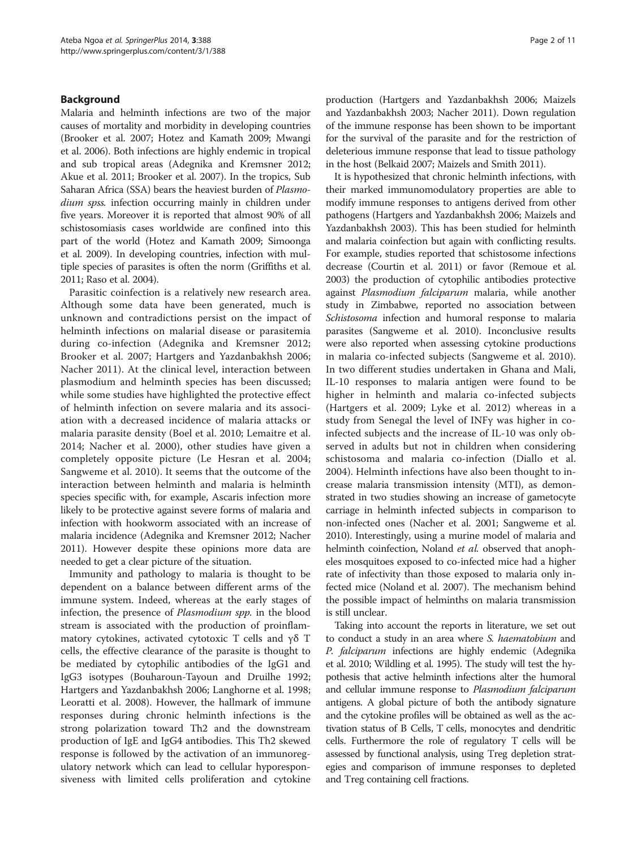#### Background

Malaria and helminth infections are two of the major causes of mortality and morbidity in developing countries (Brooker et al. [2007](#page-9-0); Hotez and Kamath [2009](#page-9-0); Mwangi et al. [2006](#page-10-0)). Both infections are highly endemic in tropical and sub tropical areas (Adegnika and Kremsner [2012](#page-9-0); Akue et al. [2011](#page-9-0); Brooker et al. [2007](#page-9-0)). In the tropics, Sub Saharan Africa (SSA) bears the heaviest burden of Plasmodium spss. infection occurring mainly in children under five years. Moreover it is reported that almost 90% of all schistosomiasis cases worldwide are confined into this part of the world (Hotez and Kamath [2009;](#page-9-0) Simoonga et al. [2009\)](#page-10-0). In developing countries, infection with multiple species of parasites is often the norm (Griffiths et al. [2011;](#page-9-0) Raso et al. [2004](#page-10-0)).

Parasitic coinfection is a relatively new research area. Although some data have been generated, much is unknown and contradictions persist on the impact of helminth infections on malarial disease or parasitemia during co-infection (Adegnika and Kremsner [2012](#page-9-0); Brooker et al. [2007](#page-9-0); Hartgers and Yazdanbakhsh [2006](#page-9-0); Nacher [2011](#page-10-0)). At the clinical level, interaction between plasmodium and helminth species has been discussed; while some studies have highlighted the protective effect of helminth infection on severe malaria and its association with a decreased incidence of malaria attacks or malaria parasite density (Boel et al. [2010;](#page-9-0) Lemaitre et al. [2014;](#page-10-0) Nacher et al. [2000](#page-10-0)), other studies have given a completely opposite picture (Le Hesran et al. [2004](#page-10-0); Sangweme et al. [2010](#page-10-0)). It seems that the outcome of the interaction between helminth and malaria is helminth species specific with, for example, Ascaris infection more likely to be protective against severe forms of malaria and infection with hookworm associated with an increase of malaria incidence (Adegnika and Kremsner [2012;](#page-9-0) Nacher [2011\)](#page-10-0). However despite these opinions more data are needed to get a clear picture of the situation.

Immunity and pathology to malaria is thought to be dependent on a balance between different arms of the immune system. Indeed, whereas at the early stages of infection, the presence of Plasmodium spp. in the blood stream is associated with the production of proinflammatory cytokines, activated cytotoxic T cells and γδ T cells, the effective clearance of the parasite is thought to be mediated by cytophilic antibodies of the IgG1 and IgG3 isotypes (Bouharoun-Tayoun and Druilhe [1992](#page-9-0); Hartgers and Yazdanbakhsh [2006;](#page-9-0) Langhorne et al. [1998](#page-10-0); Leoratti et al. [2008\)](#page-10-0). However, the hallmark of immune responses during chronic helminth infections is the strong polarization toward Th2 and the downstream production of IgE and IgG4 antibodies. This Th2 skewed response is followed by the activation of an immunoregulatory network which can lead to cellular hyporesponsiveness with limited cells proliferation and cytokine

production (Hartgers and Yazdanbakhsh [2006](#page-9-0); Maizels and Yazdanbakhsh [2003](#page-10-0); Nacher [2011](#page-10-0)). Down regulation of the immune response has been shown to be important for the survival of the parasite and for the restriction of deleterious immune response that lead to tissue pathology in the host (Belkaid [2007](#page-9-0); Maizels and Smith [2011](#page-10-0)).

It is hypothesized that chronic helminth infections, with their marked immunomodulatory properties are able to modify immune responses to antigens derived from other pathogens (Hartgers and Yazdanbakhsh [2006;](#page-9-0) Maizels and Yazdanbakhsh [2003\)](#page-10-0). This has been studied for helminth and malaria coinfection but again with conflicting results. For example, studies reported that schistosome infections decrease (Courtin et al. [2011](#page-9-0)) or favor (Remoue et al. [2003\)](#page-10-0) the production of cytophilic antibodies protective against Plasmodium falciparum malaria, while another study in Zimbabwe, reported no association between Schistosoma infection and humoral response to malaria parasites (Sangweme et al. [2010\)](#page-10-0). Inconclusive results were also reported when assessing cytokine productions in malaria co-infected subjects (Sangweme et al. [2010](#page-10-0)). In two different studies undertaken in Ghana and Mali, IL-10 responses to malaria antigen were found to be higher in helminth and malaria co-infected subjects (Hartgers et al. [2009;](#page-9-0) Lyke et al. [2012](#page-10-0)) whereas in a study from Senegal the level of INFγ was higher in coinfected subjects and the increase of IL-10 was only observed in adults but not in children when considering schistosoma and malaria co-infection (Diallo et al. [2004\)](#page-9-0). Helminth infections have also been thought to increase malaria transmission intensity (MTI), as demonstrated in two studies showing an increase of gametocyte carriage in helminth infected subjects in comparison to non-infected ones (Nacher et al. [2001](#page-10-0); Sangweme et al. [2010\)](#page-10-0). Interestingly, using a murine model of malaria and helminth coinfection, Noland et al. observed that anopheles mosquitoes exposed to co-infected mice had a higher rate of infectivity than those exposed to malaria only infected mice (Noland et al. [2007\)](#page-10-0). The mechanism behind the possible impact of helminths on malaria transmission is still unclear.

Taking into account the reports in literature, we set out to conduct a study in an area where S. haematobium and P. falciparum infections are highly endemic (Adegnika et al. [2010](#page-9-0); Wildling et al. [1995](#page-10-0)). The study will test the hypothesis that active helminth infections alter the humoral and cellular immune response to Plasmodium falciparum antigens. A global picture of both the antibody signature and the cytokine profiles will be obtained as well as the activation status of B Cells, T cells, monocytes and dendritic cells. Furthermore the role of regulatory T cells will be assessed by functional analysis, using Treg depletion strategies and comparison of immune responses to depleted and Treg containing cell fractions.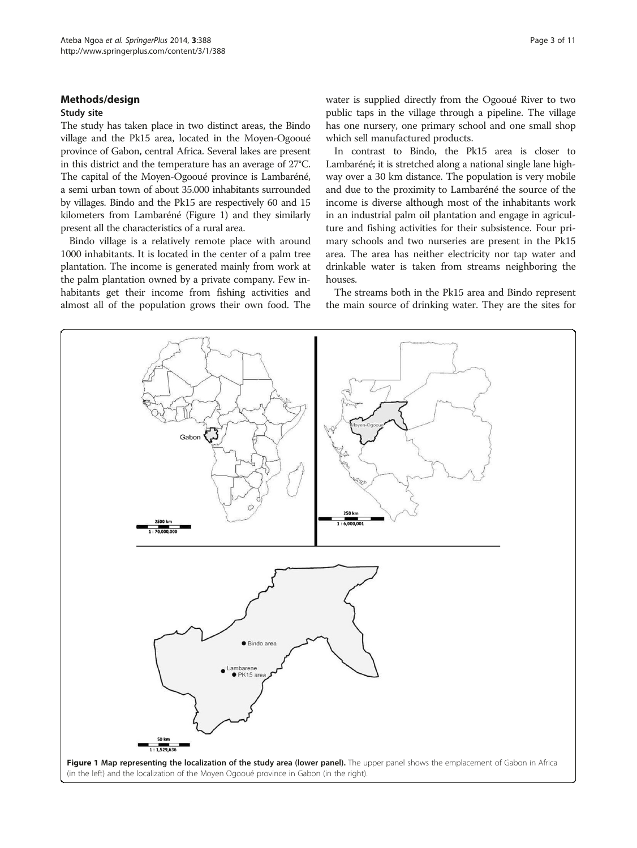#### Methods/design

#### Study site

The study has taken place in two distinct areas, the Bindo village and the Pk15 area, located in the Moyen-Ogooué province of Gabon, central Africa. Several lakes are present in this district and the temperature has an average of 27°C. The capital of the Moyen-Ogooué province is Lambaréné, a semi urban town of about 35.000 inhabitants surrounded by villages. Bindo and the Pk15 are respectively 60 and 15 kilometers from Lambaréné (Figure 1) and they similarly present all the characteristics of a rural area.

Bindo village is a relatively remote place with around 1000 inhabitants. It is located in the center of a palm tree plantation. The income is generated mainly from work at the palm plantation owned by a private company. Few inhabitants get their income from fishing activities and almost all of the population grows their own food. The water is supplied directly from the Ogooué River to two public taps in the village through a pipeline. The village has one nursery, one primary school and one small shop which sell manufactured products.

In contrast to Bindo, the Pk15 area is closer to Lambaréné; it is stretched along a national single lane highway over a 30 km distance. The population is very mobile and due to the proximity to Lambaréné the source of the income is diverse although most of the inhabitants work in an industrial palm oil plantation and engage in agriculture and fishing activities for their subsistence. Four primary schools and two nurseries are present in the Pk15 area. The area has neither electricity nor tap water and drinkable water is taken from streams neighboring the houses.

The streams both in the Pk15 area and Bindo represent the main source of drinking water. They are the sites for

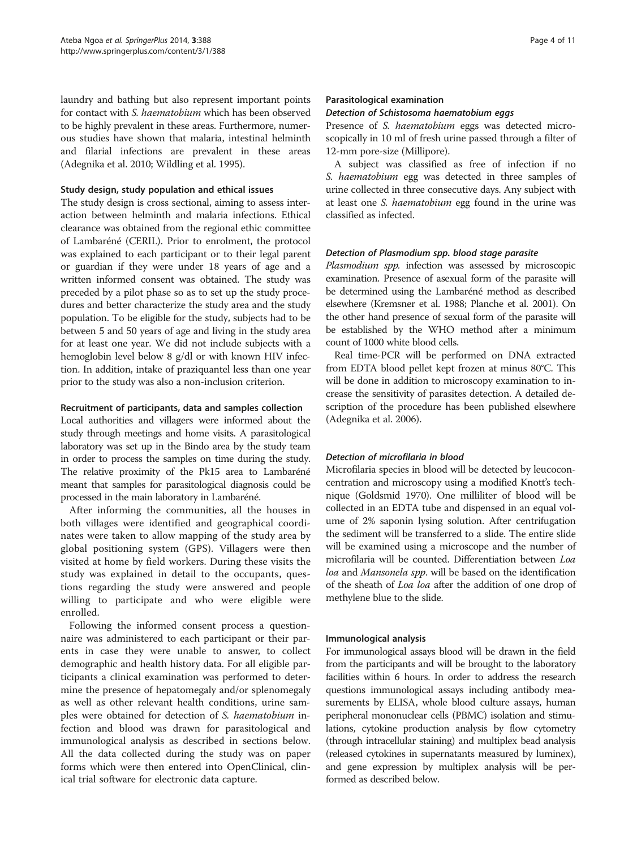laundry and bathing but also represent important points for contact with S. haematobium which has been observed to be highly prevalent in these areas. Furthermore, numerous studies have shown that malaria, intestinal helminth and filarial infections are prevalent in these areas (Adegnika et al. [2010](#page-9-0); Wildling et al. [1995\)](#page-10-0).

#### Study design, study population and ethical issues

The study design is cross sectional, aiming to assess interaction between helminth and malaria infections. Ethical clearance was obtained from the regional ethic committee of Lambaréné (CERIL). Prior to enrolment, the protocol was explained to each participant or to their legal parent or guardian if they were under 18 years of age and a written informed consent was obtained. The study was preceded by a pilot phase so as to set up the study procedures and better characterize the study area and the study population. To be eligible for the study, subjects had to be between 5 and 50 years of age and living in the study area for at least one year. We did not include subjects with a hemoglobin level below 8 g/dl or with known HIV infection. In addition, intake of praziquantel less than one year prior to the study was also a non-inclusion criterion.

#### Recruitment of participants, data and samples collection

Local authorities and villagers were informed about the study through meetings and home visits. A parasitological laboratory was set up in the Bindo area by the study team in order to process the samples on time during the study. The relative proximity of the Pk15 area to Lambaréné meant that samples for parasitological diagnosis could be processed in the main laboratory in Lambaréné.

After informing the communities, all the houses in both villages were identified and geographical coordinates were taken to allow mapping of the study area by global positioning system (GPS). Villagers were then visited at home by field workers. During these visits the study was explained in detail to the occupants, questions regarding the study were answered and people willing to participate and who were eligible were enrolled.

Following the informed consent process a questionnaire was administered to each participant or their parents in case they were unable to answer, to collect demographic and health history data. For all eligible participants a clinical examination was performed to determine the presence of hepatomegaly and/or splenomegaly as well as other relevant health conditions, urine samples were obtained for detection of S. haematobium infection and blood was drawn for parasitological and immunological analysis as described in sections below. All the data collected during the study was on paper forms which were then entered into OpenClinical, clinical trial software for electronic data capture.

#### Parasitological examination

#### Detection of Schistosoma haematobium eggs

Presence of S. haematobium eggs was detected microscopically in 10 ml of fresh urine passed through a filter of 12-mm pore-size (Millipore).

A subject was classified as free of infection if no S. haematobium egg was detected in three samples of urine collected in three consecutive days. Any subject with at least one S. haematobium egg found in the urine was classified as infected.

#### Detection of Plasmodium spp. blood stage parasite

Plasmodium spp. infection was assessed by microscopic examination. Presence of asexual form of the parasite will be determined using the Lambaréné method as described elsewhere (Kremsner et al. [1988](#page-10-0); Planche et al. [2001\)](#page-10-0). On the other hand presence of sexual form of the parasite will be established by the WHO method after a minimum count of 1000 white blood cells.

Real time-PCR will be performed on DNA extracted from EDTA blood pellet kept frozen at minus 80°C. This will be done in addition to microscopy examination to increase the sensitivity of parasites detection. A detailed description of the procedure has been published elsewhere (Adegnika et al. [2006](#page-9-0)).

#### Detection of microfilaria in blood

Microfilaria species in blood will be detected by leucoconcentration and microscopy using a modified Knott's technique (Goldsmid [1970](#page-9-0)). One milliliter of blood will be collected in an EDTA tube and dispensed in an equal volume of 2% saponin lysing solution. After centrifugation the sediment will be transferred to a slide. The entire slide will be examined using a microscope and the number of microfilaria will be counted. Differentiation between Loa loa and Mansonela spp. will be based on the identification of the sheath of Loa loa after the addition of one drop of methylene blue to the slide.

#### Immunological analysis

For immunological assays blood will be drawn in the field from the participants and will be brought to the laboratory facilities within 6 hours. In order to address the research questions immunological assays including antibody measurements by ELISA, whole blood culture assays, human peripheral mononuclear cells (PBMC) isolation and stimulations, cytokine production analysis by flow cytometry (through intracellular staining) and multiplex bead analysis (released cytokines in supernatants measured by luminex), and gene expression by multiplex analysis will be performed as described below.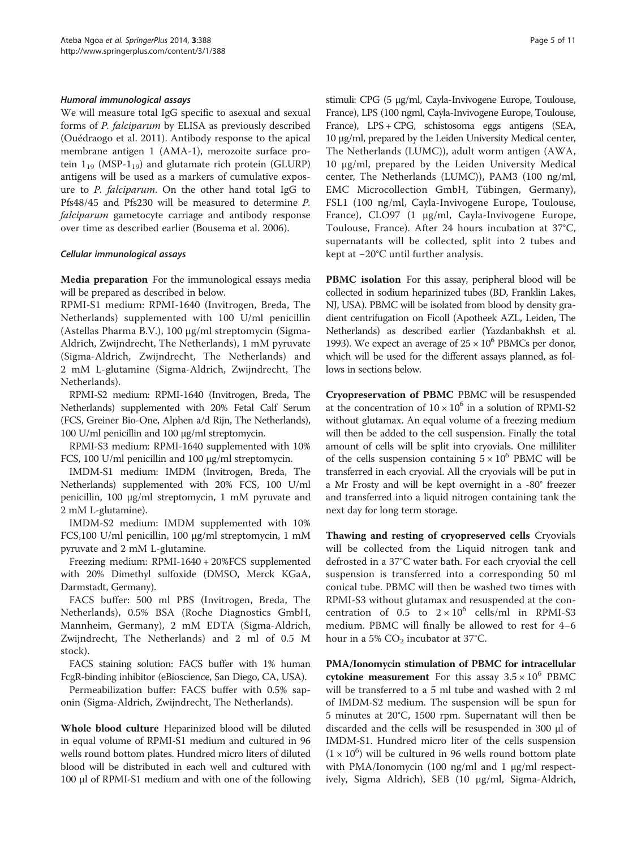#### Humoral immunological assays

We will measure total IgG specific to asexual and sexual forms of P. falciparum by ELISA as previously described (Ouédraogo et al. [2011](#page-10-0)). Antibody response to the apical membrane antigen 1 (AMA-1), merozoite surface protein  $1_{19}$  (MSP- $1_{19}$ ) and glutamate rich protein (GLURP) antigens will be used as a markers of cumulative exposure to P. falciparum. On the other hand total IgG to Pfs48/45 and Pfs230 will be measured to determine P. falciparum gametocyte carriage and antibody response over time as described earlier (Bousema et al. [2006](#page-9-0)).

#### Cellular immunological assays

Media preparation For the immunological essays media will be prepared as described in below.

RPMI-S1 medium: RPMI-1640 (Invitrogen, Breda, The Netherlands) supplemented with 100 U/ml penicillin (Astellas Pharma B.V.), 100 μg/ml streptomycin (Sigma-Aldrich, Zwijndrecht, The Netherlands), 1 mM pyruvate (Sigma-Aldrich, Zwijndrecht, The Netherlands) and 2 mM L-glutamine (Sigma-Aldrich, Zwijndrecht, The Netherlands).

RPMI-S2 medium: RPMI-1640 (Invitrogen, Breda, The Netherlands) supplemented with 20% Fetal Calf Serum (FCS, Greiner Bio-One, Alphen a/d Rijn, The Netherlands), 100 U/ml penicillin and 100 μg/ml streptomycin.

RPMI-S3 medium: RPMI-1640 supplemented with 10% FCS, 100 U/ml penicillin and 100 μg/ml streptomycin.

IMDM-S1 medium: IMDM (Invitrogen, Breda, The Netherlands) supplemented with 20% FCS, 100 U/ml penicillin, 100 μg/ml streptomycin, 1 mM pyruvate and 2 mM L-glutamine).

IMDM-S2 medium: IMDM supplemented with 10% FCS,100 U/ml penicillin, 100 μg/ml streptomycin, 1 mM pyruvate and 2 mM L-glutamine.

Freezing medium: RPMI-1640 + 20%FCS supplemented with 20% Dimethyl sulfoxide (DMSO, Merck KGaA, Darmstadt, Germany).

FACS buffer: 500 ml PBS (Invitrogen, Breda, The Netherlands), 0.5% BSA (Roche Diagnostics GmbH, Mannheim, Germany), 2 mM EDTA (Sigma-Aldrich, Zwijndrecht, The Netherlands) and 2 ml of 0.5 M stock).

FACS staining solution: FACS buffer with 1% human FcgR-binding inhibitor (eBioscience, San Diego, CA, USA).

Permeabilization buffer: FACS buffer with 0.5% saponin (Sigma-Aldrich, Zwijndrecht, The Netherlands).

Whole blood culture Heparinized blood will be diluted in equal volume of RPMI-S1 medium and cultured in 96 wells round bottom plates. Hundred micro liters of diluted blood will be distributed in each well and cultured with 100 μl of RPMI-S1 medium and with one of the following

stimuli: CPG (5 μg/ml, Cayla-Invivogene Europe, Toulouse, France), LPS (100 ngml, Cayla-Invivogene Europe, Toulouse, France), LPS + CPG, schistosoma eggs antigens (SEA, 10 μg/ml, prepared by the Leiden University Medical center, The Netherlands (LUMC)), adult worm antigen (AWA, 10 μg/ml, prepared by the Leiden University Medical center, The Netherlands (LUMC)), PAM3 (100 ng/ml, EMC Microcollection GmbH, Tübingen, Germany), FSL1 (100 ng/ml, Cayla-Invivogene Europe, Toulouse, France), CLO97 (1 μg/ml, Cayla-Invivogene Europe, Toulouse, France). After 24 hours incubation at 37°C, supernatants will be collected, split into 2 tubes and kept at −20°C until further analysis.

PBMC isolation For this assay, peripheral blood will be collected in sodium heparinized tubes (BD, Franklin Lakes, NJ, USA). PBMC will be isolated from blood by density gradient centrifugation on Ficoll (Apotheek AZL, Leiden, The Netherlands) as described earlier (Yazdanbakhsh et al. [1993\)](#page-10-0). We expect an average of  $25 \times 10^6$  PBMCs per donor, which will be used for the different assays planned, as follows in sections below.

Cryopreservation of PBMC PBMC will be resuspended at the concentration of  $10 \times 10^6$  in a solution of RPMI-S2 without glutamax. An equal volume of a freezing medium will then be added to the cell suspension. Finally the total amount of cells will be split into cryovials. One milliliter of the cells suspension containing  $5 \times 10^6$  PBMC will be transferred in each cryovial. All the cryovials will be put in a Mr Frosty and will be kept overnight in a -80° freezer and transferred into a liquid nitrogen containing tank the next day for long term storage.

Thawing and resting of cryopreserved cells Cryovials will be collected from the Liquid nitrogen tank and defrosted in a 37°C water bath. For each cryovial the cell suspension is transferred into a corresponding 50 ml conical tube. PBMC will then be washed two times with RPMI-S3 without glutamax and resuspended at the concentration of 0.5 to  $2 \times 10^6$  cells/ml in RPMI-S3 medium. PBMC will finally be allowed to rest for 4–6 hour in a 5%  $CO<sub>2</sub>$  incubator at 37°C.

PMA/Ionomycin stimulation of PBMC for intracellular cytokine measurement For this assay  $3.5 \times 10^6$  PBMC will be transferred to a 5 ml tube and washed with 2 ml of IMDM-S2 medium. The suspension will be spun for 5 minutes at 20°C, 1500 rpm. Supernatant will then be discarded and the cells will be resuspended in 300 μl of IMDM-S1. Hundred micro liter of the cells suspension  $(1 \times 10^6)$  will be cultured in 96 wells round bottom plate with PMA/Ionomycin (100 ng/ml and 1 μg/ml respectively, Sigma Aldrich), SEB (10 μg/ml, Sigma-Aldrich,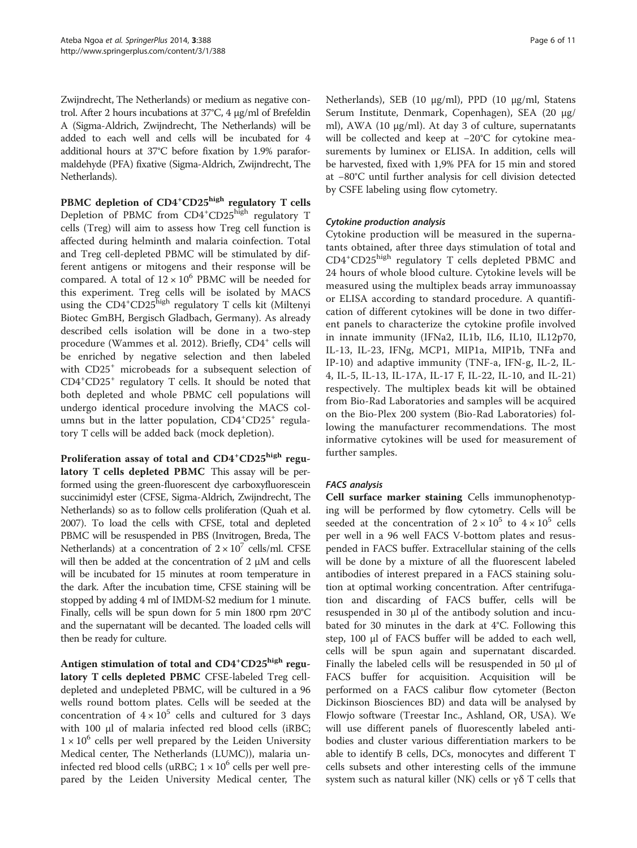Zwijndrecht, The Netherlands) or medium as negative control. After 2 hours incubations at 37°C, 4 μg/ml of Brefeldin A (Sigma-Aldrich, Zwijndrecht, The Netherlands) will be added to each well and cells will be incubated for 4 additional hours at 37°C before fixation by 1.9% paraformaldehyde (PFA) fixative (Sigma-Aldrich, Zwijndrecht, The Netherlands).

PBMC depletion of CD4<sup>+</sup>CD25<sup>high</sup> regulatory T cells Depletion of PBMC from CD4<sup>+</sup>CD25<sup>high</sup> regulatory T cells (Treg) will aim to assess how Treg cell function is affected during helminth and malaria coinfection. Total and Treg cell-depleted PBMC will be stimulated by different antigens or mitogens and their response will be compared. A total of  $12 \times 10^6$  PBMC will be needed for this experiment. Treg cells will be isolated by MACS using the CD4<sup>+</sup>CD25<sup>high</sup> regulatory T cells kit (Miltenyi Biotec GmBH, Bergisch Gladbach, Germany). As already described cells isolation will be done in a two-step procedure (Wammes et al. [2012\)](#page-10-0). Briefly, CD4<sup>+</sup> cells will be enriched by negative selection and then labeled with CD25<sup>+</sup> microbeads for a subsequent selection of CD4<sup>+</sup> CD25<sup>+</sup> regulatory T cells. It should be noted that both depleted and whole PBMC cell populations will undergo identical procedure involving the MACS columns but in the latter population, CD4<sup>+</sup>CD25<sup>+</sup> regulatory T cells will be added back (mock depletion).

Proliferation assay of total and CD4<sup>+</sup>CD25<sup>high</sup> regulatory T cells depleted PBMC This assay will be performed using the green-fluorescent dye carboxyfluorescein succinimidyl ester (CFSE, Sigma-Aldrich, Zwijndrecht, The Netherlands) so as to follow cells proliferation (Quah et al. [2007\)](#page-10-0). To load the cells with CFSE, total and depleted PBMC will be resuspended in PBS (Invitrogen, Breda, The Netherlands) at a concentration of  $2 \times 10^7$  cells/ml. CFSE will then be added at the concentration of 2 μM and cells will be incubated for 15 minutes at room temperature in the dark. After the incubation time, CFSE staining will be stopped by adding 4 ml of IMDM-S2 medium for 1 minute. Finally, cells will be spun down for 5 min 1800 rpm 20°C and the supernatant will be decanted. The loaded cells will then be ready for culture.

Antigen stimulation of total and CD4<sup>+</sup>CD25<sup>high</sup> regulatory T cells depleted PBMC CFSE-labeled Treg celldepleted and undepleted PBMC, will be cultured in a 96 wells round bottom plates. Cells will be seeded at the concentration of  $4 \times 10^5$  cells and cultured for 3 days with 100 μl of malaria infected red blood cells (iRBC;  $1 \times 10^6$  cells per well prepared by the Leiden University Medical center, The Netherlands (LUMC)), malaria uninfected red blood cells (uRBC;  $1 \times 10^6$  cells per well prepared by the Leiden University Medical center, The Netherlands), SEB (10 μg/ml), PPD (10 μg/ml, Statens Serum Institute, Denmark, Copenhagen), SEA (20 μg/ ml), AWA (10 μg/ml). At day 3 of culture, supernatants will be collected and keep at −20°C for cytokine measurements by luminex or ELISA. In addition, cells will be harvested, fixed with 1,9% PFA for 15 min and stored at −80°C until further analysis for cell division detected by CSFE labeling using flow cytometry.

## Cytokine production analysis

Cytokine production will be measured in the supernatants obtained, after three days stimulation of total and CD4<sup>+</sup> CD25high regulatory T cells depleted PBMC and 24 hours of whole blood culture. Cytokine levels will be measured using the multiplex beads array immunoassay or ELISA according to standard procedure. A quantification of different cytokines will be done in two different panels to characterize the cytokine profile involved in innate immunity (IFNa2, IL1b, IL6, IL10, IL12p70, IL-13, IL-23, IFNg, MCP1, MIP1a, MIP1b, TNFa and IP-10) and adaptive immunity (TNF-a, IFN-g, IL-2, IL-4, IL-5, IL-13, IL-17A, IL-17 F, IL-22, IL-10, and IL-21) respectively. The multiplex beads kit will be obtained from Bio-Rad Laboratories and samples will be acquired on the Bio-Plex 200 system (Bio-Rad Laboratories) following the manufacturer recommendations. The most informative cytokines will be used for measurement of further samples.

## FACS analysis

Cell surface marker staining Cells immunophenotyping will be performed by flow cytometry. Cells will be seeded at the concentration of  $2 \times 10^5$  to  $4 \times 10^5$  cells per well in a 96 well FACS V-bottom plates and resuspended in FACS buffer. Extracellular staining of the cells will be done by a mixture of all the fluorescent labeled antibodies of interest prepared in a FACS staining solution at optimal working concentration. After centrifugation and discarding of FACS buffer, cells will be resuspended in 30 μl of the antibody solution and incubated for 30 minutes in the dark at 4°C. Following this step, 100 μl of FACS buffer will be added to each well, cells will be spun again and supernatant discarded. Finally the labeled cells will be resuspended in 50 μl of FACS buffer for acquisition. Acquisition will be performed on a FACS calibur flow cytometer (Becton Dickinson Biosciences BD) and data will be analysed by Flowjo software (Treestar Inc., Ashland, OR, USA). We will use different panels of fluorescently labeled antibodies and cluster various differentiation markers to be able to identify B cells, DCs, monocytes and different T cells subsets and other interesting cells of the immune system such as natural killer (NK) cells or γδ T cells that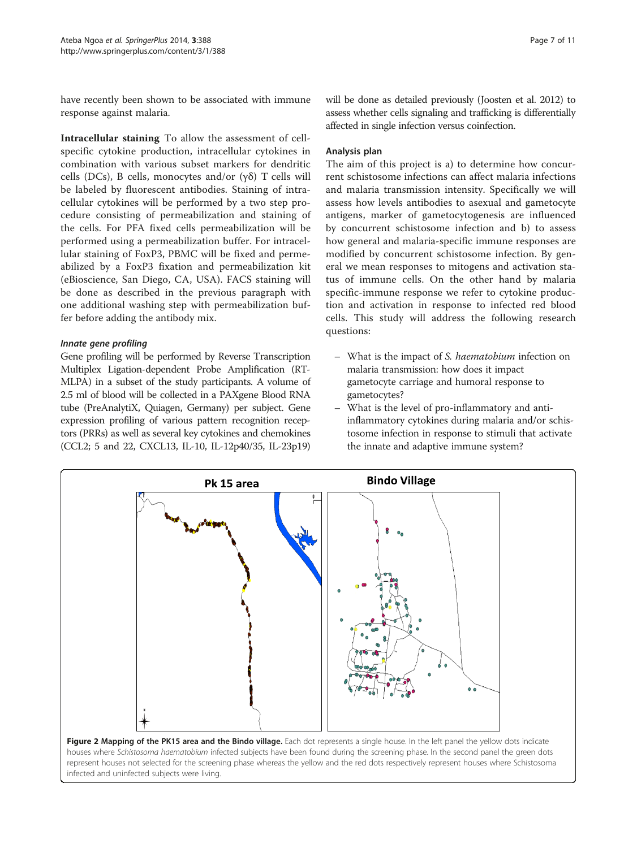<span id="page-6-0"></span>have recently been shown to be associated with immune response against malaria.

Intracellular staining To allow the assessment of cellspecific cytokine production, intracellular cytokines in combination with various subset markers for dendritic cells (DCs), B cells, monocytes and/or  $(γδ)$  T cells will be labeled by fluorescent antibodies. Staining of intracellular cytokines will be performed by a two step procedure consisting of permeabilization and staining of the cells. For PFA fixed cells permeabilization will be performed using a permeabilization buffer. For intracellular staining of FoxP3, PBMC will be fixed and permeabilized by a FoxP3 fixation and permeabilization kit (eBioscience, San Diego, CA, USA). FACS staining will be done as described in the previous paragraph with one additional washing step with permeabilization buffer before adding the antibody mix.

#### Innate gene profiling

Gene profiling will be performed by Reverse Transcription Multiplex Ligation-dependent Probe Amplification (RT-MLPA) in a subset of the study participants. A volume of 2.5 ml of blood will be collected in a PAXgene Blood RNA tube (PreAnalytiX, Quiagen, Germany) per subject. Gene expression profiling of various pattern recognition receptors (PRRs) as well as several key cytokines and chemokines (CCL2; 5 and 22, CXCL13, IL-10, IL-12p40/35, IL-23p19)

will be done as detailed previously (Joosten et al. [2012\)](#page-9-0) to assess whether cells signaling and trafficking is differentially affected in single infection versus coinfection.

#### Analysis plan

The aim of this project is a) to determine how concurrent schistosome infections can affect malaria infections and malaria transmission intensity. Specifically we will assess how levels antibodies to asexual and gametocyte antigens, marker of gametocytogenesis are influenced by concurrent schistosome infection and b) to assess how general and malaria-specific immune responses are modified by concurrent schistosome infection. By general we mean responses to mitogens and activation status of immune cells. On the other hand by malaria specific-immune response we refer to cytokine production and activation in response to infected red blood cells. This study will address the following research questions:

- What is the impact of S. haematobium infection on malaria transmission: how does it impact gametocyte carriage and humoral response to gametocytes?
- What is the level of pro-inflammatory and antiinflammatory cytokines during malaria and/or schistosome infection in response to stimuli that activate the innate and adaptive immune system?



houses where Schistosoma haematobium infected subjects have been found during the screening phase. In the second panel the green dots represent houses not selected for the screening phase whereas the yellow and the red dots respectively represent houses where Schistosoma infected and uninfected subjects were living.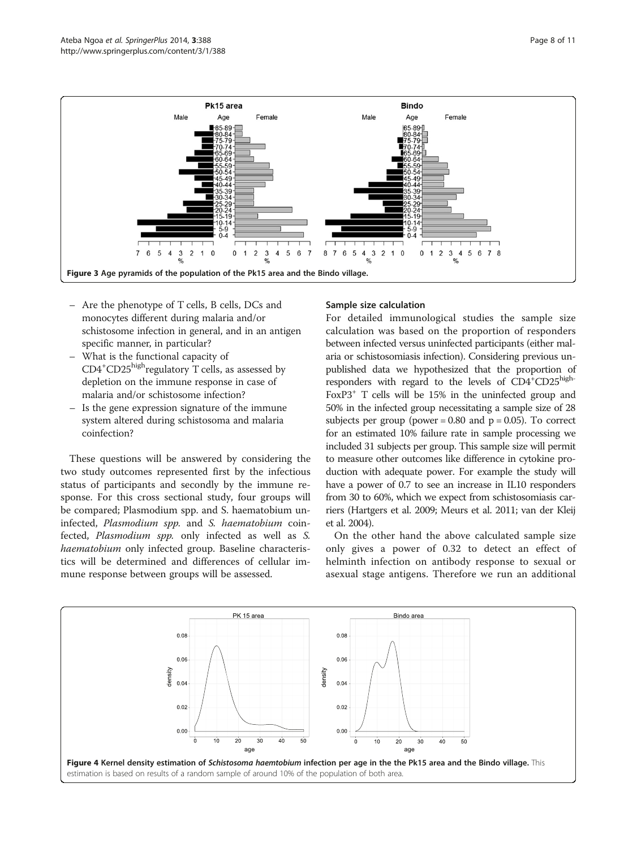<span id="page-7-0"></span>

- Are the phenotype of T cells, B cells, DCs and monocytes different during malaria and/or schistosome infection in general, and in an antigen specific manner, in particular?
- What is the functional capacity of CD4<sup>+</sup>CD25<sup>high</sup>regulatory T cells, as assessed by depletion on the immune response in case of malaria and/or schistosome infection?
- Is the gene expression signature of the immune system altered during schistosoma and malaria coinfection?

These questions will be answered by considering the two study outcomes represented first by the infectious status of participants and secondly by the immune response. For this cross sectional study, four groups will be compared; Plasmodium spp. and S. haematobium uninfected, Plasmodium spp. and S. haematobium coinfected, Plasmodium spp. only infected as well as S. haematobium only infected group. Baseline characteristics will be determined and differences of cellular immune response between groups will be assessed.

## Sample size calculation

For detailed immunological studies the sample size calculation was based on the proportion of responders between infected versus uninfected participants (either malaria or schistosomiasis infection). Considering previous unpublished data we hypothesized that the proportion of responders with regard to the levels of CD4+CD25high-Fox $P3$ <sup>+</sup> T cells will be 15% in the uninfected group and 50% in the infected group necessitating a sample size of 28 subjects per group (power =  $0.80$  and  $p = 0.05$ ). To correct for an estimated 10% failure rate in sample processing we included 31 subjects per group. This sample size will permit to measure other outcomes like difference in cytokine production with adequate power. For example the study will have a power of 0.7 to see an increase in IL10 responders from 30 to 60%, which we expect from schistosomiasis carriers (Hartgers et al. [2009;](#page-9-0) Meurs et al. [2011](#page-10-0); van der Kleij et al. [2004\)](#page-10-0).

On the other hand the above calculated sample size only gives a power of 0.32 to detect an effect of helminth infection on antibody response to sexual or asexual stage antigens. Therefore we run an additional

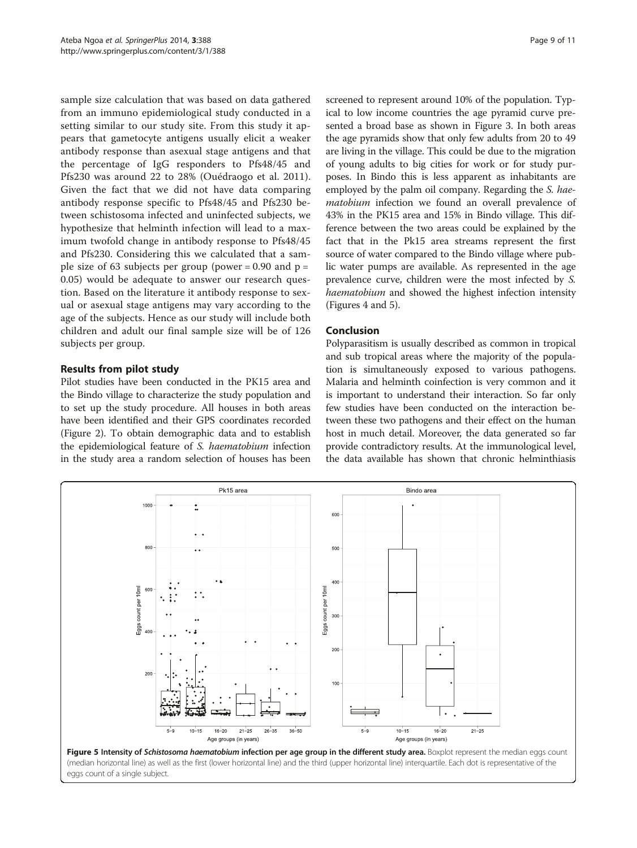sample size calculation that was based on data gathered from an immuno epidemiological study conducted in a setting similar to our study site. From this study it appears that gametocyte antigens usually elicit a weaker antibody response than asexual stage antigens and that the percentage of IgG responders to Pfs48/45 and Pfs230 was around 22 to 28% (Ouédraogo et al. [2011](#page-10-0)). Given the fact that we did not have data comparing antibody response specific to Pfs48/45 and Pfs230 between schistosoma infected and uninfected subjects, we hypothesize that helminth infection will lead to a maximum twofold change in antibody response to Pfs48/45 and Pfs230. Considering this we calculated that a sample size of 63 subjects per group (power =  $0.90$  and p = 0.05) would be adequate to answer our research question. Based on the literature it antibody response to sexual or asexual stage antigens may vary according to the age of the subjects. Hence as our study will include both children and adult our final sample size will be of 126 subjects per group.

## Results from pilot study

Pilot studies have been conducted in the PK15 area and the Bindo village to characterize the study population and to set up the study procedure. All houses in both areas have been identified and their GPS coordinates recorded (Figure [2\)](#page-6-0). To obtain demographic data and to establish the epidemiological feature of S. haematobium infection in the study area a random selection of houses has been

screened to represent around 10% of the population. Typical to low income countries the age pyramid curve presented a broad base as shown in Figure [3.](#page-7-0) In both areas the age pyramids show that only few adults from 20 to 49 are living in the village. This could be due to the migration of young adults to big cities for work or for study purposes. In Bindo this is less apparent as inhabitants are employed by the palm oil company. Regarding the *S. hae*matobium infection we found an overall prevalence of 43% in the PK15 area and 15% in Bindo village. This difference between the two areas could be explained by the fact that in the Pk15 area streams represent the first source of water compared to the Bindo village where public water pumps are available. As represented in the age prevalence curve, children were the most infected by S. haematobium and showed the highest infection intensity (Figures [4](#page-7-0) and 5).

## Conclusion

Polyparasitism is usually described as common in tropical and sub tropical areas where the majority of the population is simultaneously exposed to various pathogens. Malaria and helminth coinfection is very common and it is important to understand their interaction. So far only few studies have been conducted on the interaction between these two pathogens and their effect on the human host in much detail. Moreover, the data generated so far provide contradictory results. At the immunological level, the data available has shown that chronic helminthiasis

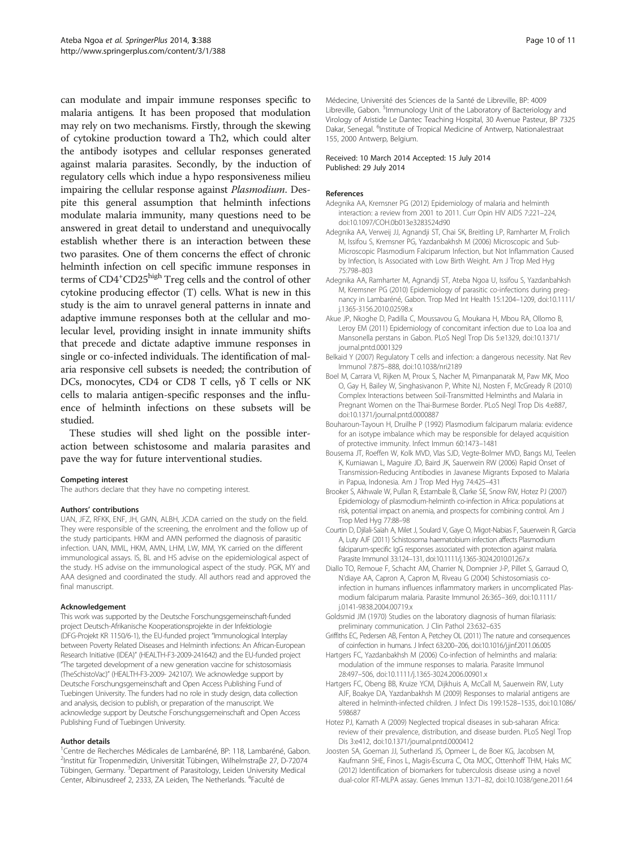<span id="page-9-0"></span>can modulate and impair immune responses specific to malaria antigens. It has been proposed that modulation may rely on two mechanisms. Firstly, through the skewing of cytokine production toward a Th2, which could alter the antibody isotypes and cellular responses generated against malaria parasites. Secondly, by the induction of regulatory cells which indue a hypo responsiveness milieu impairing the cellular response against *Plasmodium*. Despite this general assumption that helminth infections modulate malaria immunity, many questions need to be answered in great detail to understand and unequivocally establish whether there is an interaction between these two parasites. One of them concerns the effect of chronic helminth infection on cell specific immune responses in terms of CD4<sup>+</sup>CD25<sup>high</sup> Treg cells and the control of other cytokine producing effector (T) cells. What is new in this study is the aim to unravel general patterns in innate and adaptive immune responses both at the cellular and molecular level, providing insight in innate immunity shifts that precede and dictate adaptive immune responses in single or co-infected individuals. The identification of malaria responsive cell subsets is needed; the contribution of DCs, monocytes, CD4 or CD8 T cells, γδ T cells or NK cells to malaria antigen-specific responses and the influence of helminth infections on these subsets will be studied.

These studies will shed light on the possible interaction between schistosome and malaria parasites and pave the way for future interventional studies.

#### Competing interest

The authors declare that they have no competing interest.

#### Authors' contributions

UAN, JFZ, RFKK, ENF, JH, GMN, ALBH, JCDA carried on the study on the field. They were responsible of the screening, the enrolment and the follow up of the study participants. HKM and AMN performed the diagnosis of parasitic infection. UAN, MML, HKM, AMN, LHM, LW, MM, YK carried on the different immunological assays. IS, BL and HS advise on the epidemiological aspect of the study. HS advise on the immunological aspect of the study. PGK, MY and AAA designed and coordinated the study. All authors read and approved the final manuscript.

#### Acknowledgement

This work was supported by the Deutsche Forschungsgemeinschaft-funded project Deutsch-Afrikanische Kooperationsprojekte in der Infektiologie (DFG-Projekt KR 1150/6-1), the EU-funded project "Immunological Interplay between Poverty Related Diseases and Helminth infections: An African-European Research Initiative (IDEA)" (HEALTH-F3-2009-241642) and the EU-funded project "The targeted development of a new generation vaccine for schistosomiasis (TheSchistoVac)" (HEALTH-F3-2009- 242107). We acknowledge support by Deutsche Forschungsgemeinschaft and Open Access Publishing Fund of Tuebingen University. The funders had no role in study design, data collection and analysis, decision to publish, or preparation of the manuscript. We acknowledge support by Deutsche Forschungsgemeinschaft and Open Access Publishing Fund of Tuebingen University.

#### Author details

<sup>1</sup>Centre de Recherches Médicales de Lambaréné, BP: 118, Lambaréné, Gabon. 2 Institut für Tropenmedizin, Universität Tübingen, Wilhelmstraβe 27, D-72074 Tübingen, Germany. <sup>3</sup>Department of Parasitology, Leiden University Medical Center, Albinusdreef 2, 2333, ZA Leiden, The Netherlands. <sup>4</sup>Faculté de

Médecine, Université des Sciences de la Santé de Libreville, BP: 4009 Libreville, Gabon. <sup>5</sup>Immunology Unit of the Laboratory of Bacteriology and Virology of Aristide Le Dantec Teaching Hospital, 30 Avenue Pasteur, BP 7325 Dakar, Senegal. <sup>6</sup>Institute of Tropical Medicine of Antwerp, Nationalestraat 155, 2000 Antwerp, Belgium.

#### Received: 10 March 2014 Accepted: 15 July 2014 Published: 29 July 2014

#### References

- Adegnika AA, Kremsner PG (2012) Epidemiology of malaria and helminth interaction: a review from 2001 to 2011. Curr Opin HIV AIDS 7:221–224, doi:10.1097/COH.0b013e3283524d90
- Adegnika AA, Verweij JJ, Agnandji ST, Chai SK, Breitling LP, Ramharter M, Frolich M, Issifou S, Kremsner PG, Yazdanbakhsh M (2006) Microscopic and Sub-Microscopic Plasmodium Falciparum Infection, but Not Inflammation Caused by Infection, Is Associated with Low Birth Weight. Am J Trop Med Hyg 75:798–803
- Adegnika AA, Ramharter M, Agnandji ST, Ateba Ngoa U, Issifou S, Yazdanbahksh M, Kremsner PG (2010) Epidemiology of parasitic co-infections during pregnancy in Lambaréné, Gabon. Trop Med Int Health 15:1204–1209, doi:10.1111/ j.1365-3156.2010.02598.x
- Akue JP, Nkoghe D, Padilla C, Moussavou G, Moukana H, Mbou RA, Ollomo B, Leroy EM (2011) Epidemiology of concomitant infection due to Loa loa and Mansonella perstans in Gabon. PLoS Negl Trop Dis 5:e1329, doi:10.1371/ journal.pntd.0001329
- Belkaid Y (2007) Regulatory T cells and infection: a dangerous necessity. Nat Rev Immunol 7:875–888, doi:10.1038/nri2189
- Boel M, Carrara VI, Rijken M, Proux S, Nacher M, Pimanpanarak M, Paw MK, Moo O, Gay H, Bailey W, Singhasivanon P, White NJ, Nosten F, McGready R (2010) Complex Interactions between Soil-Transmitted Helminths and Malaria in Pregnant Women on the Thai-Burmese Border. PLoS Negl Trop Dis 4:e887, doi:10.1371/journal.pntd.0000887
- Bouharoun-Tayoun H, Druilhe P (1992) Plasmodium falciparum malaria: evidence for an isotype imbalance which may be responsible for delayed acquisition of protective immunity. Infect Immun 60:1473–1481
- Bousema JT, Roeffen W, Kolk MVD, Vlas SJD, Vegte-Bolmer MVD, Bangs MJ, Teelen K, Kurniawan L, Maguire JD, Baird JK, Sauerwein RW (2006) Rapid Onset of Transmission-Reducing Antibodies in Javanese Migrants Exposed to Malaria in Papua, Indonesia. Am J Trop Med Hyg 74:425–431
- Brooker S, Akhwale W, Pullan R, Estambale B, Clarke SE, Snow RW, Hotez PJ (2007) Epidemiology of plasmodium-helminth co-infection in Africa: populations at risk, potential impact on anemia, and prospects for combining control. Am J Trop Med Hyg 77:88–98
- Courtin D, Djilali-Saïah A, Milet J, Soulard V, Gaye O, Migot-Nabias F, Sauerwein R, Garcia A, Luty AJF (2011) Schistosoma haematobium infection affects Plasmodium falciparum-specific IgG responses associated with protection against malaria. Parasite Immunol 33:124–131, doi:10.1111/j.1365-3024.2010.01267.x
- Diallo TO, Remoue F, Schacht AM, Charrier N, Dompnier J-P, Pillet S, Garraud O, N'diaye AA, Capron A, Capron M, Riveau G (2004) Schistosomiasis coinfection in humans influences inflammatory markers in uncomplicated Plasmodium falciparum malaria. Parasite Immunol 26:365–369, doi:10.1111/ j.0141-9838.2004.00719.x
- Goldsmid JM (1970) Studies on the laboratory diagnosis of human filariasis: preliminary communication. J Clin Pathol 23:632–635
- Griffiths EC, Pedersen AB, Fenton A, Petchey OL (2011) The nature and consequences of coinfection in humans. J Infect 63:200–206, doi:10.1016/j.jinf.2011.06.005
- Hartgers FC, Yazdanbakhsh M (2006) Co-infection of helminths and malaria: modulation of the immune responses to malaria. Parasite Immunol 28:497–506, doi:10.1111/j.1365-3024.2006.00901.x
- Hartgers FC, Obeng BB, Kruize YCM, Dijkhuis A, McCall M, Sauerwein RW, Luty AJF, Boakye DA, Yazdanbakhsh M (2009) Responses to malarial antigens are altered in helminth-infected children. J Infect Dis 199:1528–1535, doi:10.1086/ 598687
- Hotez PJ, Kamath A (2009) Neglected tropical diseases in sub-saharan Africa: review of their prevalence, distribution, and disease burden. PLoS Negl Trop Dis 3:e412, doi:10.1371/journal.pntd.0000412
- Joosten SA, Goeman JJ, Sutherland JS, Opmeer L, de Boer KG, Jacobsen M, Kaufmann SHE, Finos L, Magis-Escurra C, Ota MOC, Ottenhoff THM, Haks MC (2012) Identification of biomarkers for tuberculosis disease using a novel dual-color RT-MLPA assay. Genes Immun 13:71–82, doi:10.1038/gene.2011.64